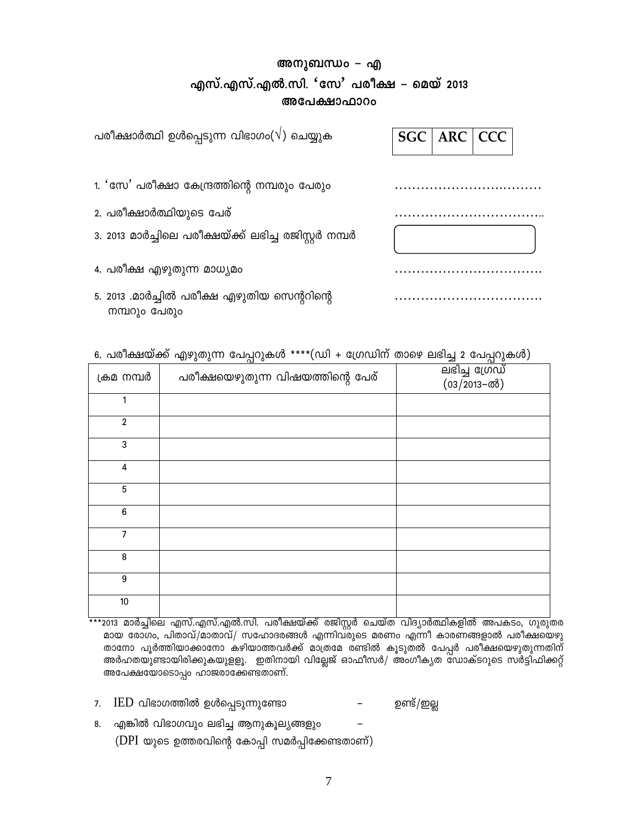## **അനുബന്ധം - എ Fkv.-F-kv.-FÂ.-kn. 'tk' ]co£ þ sabv 2013 അപേക്ഷാഫാറം**

| പരീക്ഷാർത്ഥി ഉൾപ്പെടുന്ന വിഭാഗം( $\sqrt{)}$ ചെയ്യുക          | $ARC$ $CC$<br><b>SGC</b> |
|--------------------------------------------------------------|--------------------------|
| 1. 'സേ' പരീക്ഷാ കേന്ദ്രത്തിന്റെ നമ്പരും പേരും                |                          |
| 2. പരീക്ഷാർത്ഥിയുടെ പേര്                                     |                          |
| 3. 2013 മാർച്ചിലെ പരീക്ഷയ്ക്ക് ലഭിച്ച രജിസ്റ്റർ നമ്പർ        |                          |
| 4. പരീക്ഷ എഴുതുന്ന മാധ്യമം                                   |                          |
| 5. 2013 .മാർച്ചിൽ പരീക്ഷ എഴുതിയ സെന്ററിന്റെ<br>നമ്പറും പേരും |                          |

| 6. പരീക്ഷയ്ക്ക് എഴുതുന്ന പേപ്പറുകൾ ****(ഡി + ഗ്രേഡിന് താഴെ ലഭിച്ച 2 പേപ്പറുകൾ) |  |  |  |  |  |  |  |  |  |
|--------------------------------------------------------------------------------|--|--|--|--|--|--|--|--|--|
|--------------------------------------------------------------------------------|--|--|--|--|--|--|--|--|--|

| ക്രമ നമ്പർ       | പരീക്ഷയെഴുതുന്ന വിഷയത്തിന്റെ പേര് | ലഭിച്ച ഗ്രേഡ്<br>(03/2013-ൽ) |
|------------------|-----------------------------------|------------------------------|
| 1                |                                   |                              |
| $\mathbf 2$      |                                   |                              |
| 3                |                                   |                              |
| 4                |                                   |                              |
| $\sqrt{5}$       |                                   |                              |
| $\bf 6$          |                                   |                              |
| $\overline{7}$   |                                   |                              |
| 8                |                                   |                              |
| $\boldsymbol{9}$ |                                   |                              |
| 10               |                                   |                              |

 \*\*\*2013 amÀ¨nse Fkv. -F -kv. -FÂ. -kn. ]co -£bv¡v cPn -ÌÀ sNbvX hnZ -ymÀ°n -I -fn A] -I -Sw, Kpcp -X -c - മായ രോഗം, പിതാവ്/മാതാവ്/ സഹോദരങ്ങൾ എന്നിവരുടെ മരണം എന്നീ കാരണങ്ങളാൽ പരീക്ഷയെഴു താനോ പൂർത്തിയാക്കാനോ കഴിയാത്തവർക്ക് മാത്രമേ രണ്ടിൽ കൂടുതൽ പേപ്പർ പരീക്ഷയെഴുതുന്നതിന് AÀl -X-bp-−m-bn-cn-¡p-I-bp-f-fq. CXn-\mbn hntÃPv Hm^o-kÀ/ AwKo-I-yX tUmIvS -dpsS kÀ«n-^n-¡äv അപേക്ഷയോടൊപ്പം ഹാജരാക്കേണ്ടതാണ്.

- 7. IED hn`m-K-¯n DÄs¸-Sp -¶pt−m þ D−v/CÃ
- 8. എങ്കിൽ വിഭാഗവും ലഭിച്ച ആനുകൂല്യങ്ങളും

(DPI യുടെ ഉത്തരവിന്റെ കോപ്പി സമർപ്പിക്കേണ്ടതാണ്)